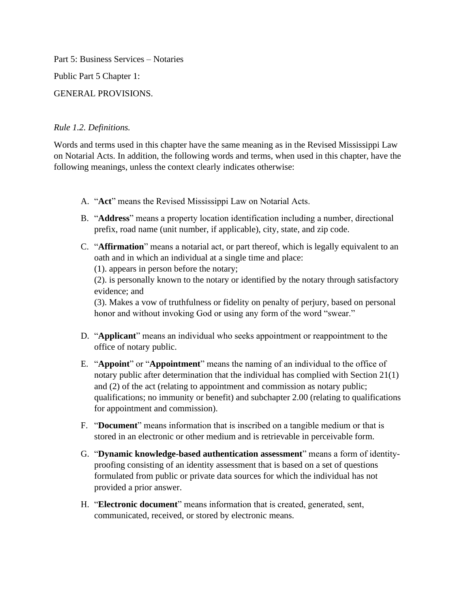Part 5: Business Services – Notaries Public Part 5 Chapter 1:

GENERAL PROVISIONS.

## *Rule 1.2. Definitions.*

Words and terms used in this chapter have the same meaning as in the Revised Mississippi Law on Notarial Acts. In addition, the following words and terms, when used in this chapter, have the following meanings, unless the context clearly indicates otherwise:

- A. "**Act**" means the Revised Mississippi Law on Notarial Acts.
- B. "**Address**" means a property location identification including a number, directional prefix, road name (unit number, if applicable), city, state, and zip code.
- C. "**Affirmation**" means a notarial act, or part thereof, which is legally equivalent to an oath and in which an individual at a single time and place:

(1). appears in person before the notary;

(2). is personally known to the notary or identified by the notary through satisfactory evidence; and

(3). Makes a vow of truthfulness or fidelity on penalty of perjury, based on personal honor and without invoking God or using any form of the word "swear."

- D. "**Applicant**" means an individual who seeks appointment or reappointment to the office of notary public.
- E. "**Appoint**" or "**Appointment**" means the naming of an individual to the office of notary public after determination that the individual has complied with Section 21(1) and (2) of the act (relating to appointment and commission as notary public; qualifications; no immunity or benefit) and subchapter 2.00 (relating to qualifications for appointment and commission).
- F. "**Document**" means information that is inscribed on a tangible medium or that is stored in an electronic or other medium and is retrievable in perceivable form.
- G. "**Dynamic knowledge-based authentication assessment**" means a form of identityproofing consisting of an identity assessment that is based on a set of questions formulated from public or private data sources for which the individual has not provided a prior answer.
- H. "**Electronic document**" means information that is created, generated, sent, communicated, received, or stored by electronic means.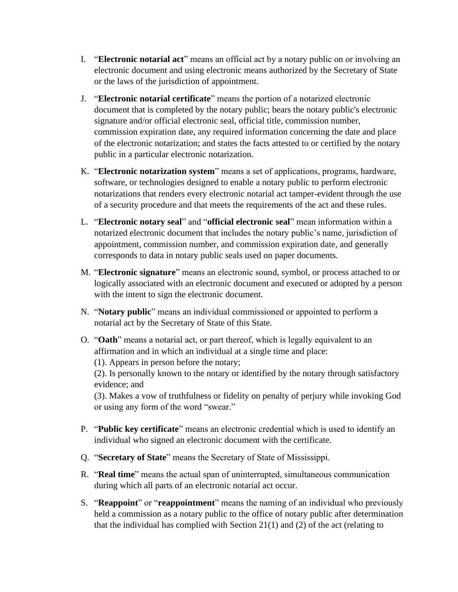- I. "**Electronic notarial act**" means an official act by a notary public on or involving an electronic document and using electronic means authorized by the Secretary of State or the laws of the jurisdiction of appointment.
- J. "**Electronic notarial certificate**" means the portion of a notarized electronic document that is completed by the notary public; bears the notary public's electronic signature and/or official electronic seal, official title, commission number, commission expiration date, any required information concerning the date and place of the electronic notarization; and states the facts attested to or certified by the notary public in a particular electronic notarization.
- K. "**Electronic notarization system**" means a set of applications, programs, hardware, software, or technologies designed to enable a notary public to perform electronic notarizations that renders every electronic notarial act tamper-evident through the use of a security procedure and that meets the requirements of the act and these rules.
- L. "**Electronic notary seal**" and "**official electronic seal**" mean information within a notarized electronic document that includes the notary public's name, jurisdiction of appointment, commission number, and commission expiration date, and generally corresponds to data in notary public seals used on paper documents.
- M. "**Electronic signature**" means an electronic sound, symbol, or process attached to or logically associated with an electronic document and executed or adopted by a person with the intent to sign the electronic document.
- N. "**Notary public**" means an individual commissioned or appointed to perform a notarial act by the Secretary of State of this State.
- O. "**Oath**" means a notarial act, or part thereof, which is legally equivalent to an affirmation and in which an individual at a single time and place:

(1). Appears in person before the notary;

(2). Is personally known to the notary or identified by the notary through satisfactory evidence; and

(3). Makes a vow of truthfulness or fidelity on penalty of perjury while invoking God or using any form of the word "swear."

- P. "**Public key certificate**" means an electronic credential which is used to identify an individual who signed an electronic document with the certificate.
- Q. "**Secretary of State**" means the Secretary of State of Mississippi.
- R. "**Real time**" means the actual span of uninterrupted, simultaneous communication during which all parts of an electronic notarial act occur.
- S. "**Reappoint**" or "**reappointment**" means the naming of an individual who previously held a commission as a notary public to the office of notary public after determination that the individual has complied with Section 21(1) and (2) of the act (relating to